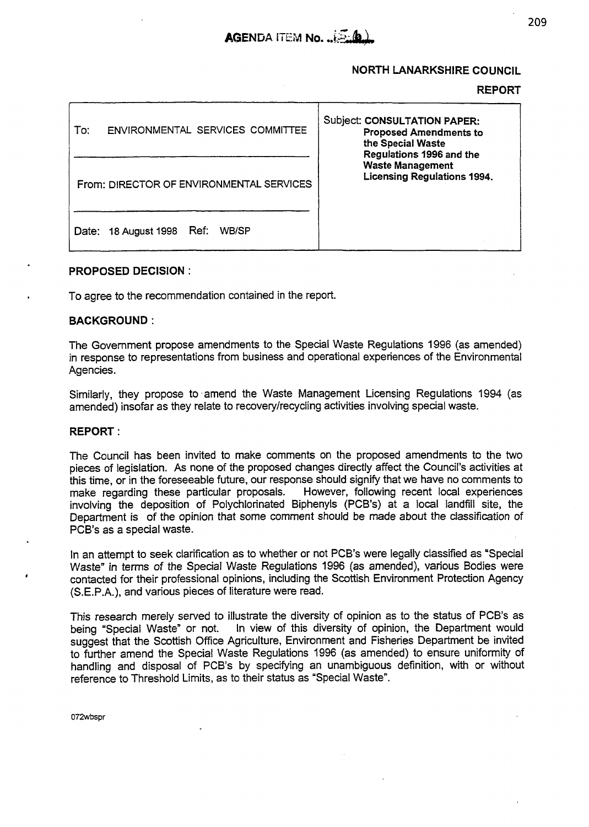

#### **NORTH LANARKSHIRE COUNCIL**

#### **REPORT**

| ENVIRONMENTAL SERVICES COMMITTEE<br>To:  | <b>Subject: CONSULTATION PAPER:</b><br><b>Proposed Amendments to</b><br>the Special Waste<br>Regulations 1996 and the<br><b>Waste Management</b><br><b>Licensing Regulations 1994.</b> |
|------------------------------------------|----------------------------------------------------------------------------------------------------------------------------------------------------------------------------------------|
| From: DIRECTOR OF ENVIRONMENTAL SERVICES |                                                                                                                                                                                        |
| 18 August 1998 Ref:<br>WB/SP<br>Date:    |                                                                                                                                                                                        |

#### **PROPOSED DECISION** :

To agree to the recommendation contained in the report.

#### **BACKGROUND** :

The Government propose amendments to the Special Waste Regulations 1996 (as amended) in response to representations from business and operational experiences of the Environmental Agencies.

Similarly, they propose to amend the Waste Management Licensing Regulations 1994 (as amended) insofar as they relate to recovery/recycling activities involving special waste.

#### **REPORT** :

The Council has been invited to make comments on the proposed amendments to the two pieces of legislation. **As** none of the proposed changes directly affect the Council's activities at this time, or in the foreseeable future, our response should signify that we have no comments to make regarding these particular proposals. However, following recent local experiences However, following recent local experiences involving the deposition of Polychlorinated Biphenyls (PCB's) at a local landfill site, the Department is of the opinion that some comment should be made about the classification of PCB's as a special waste.

In an attempt to seek clarification as to whether or not PCB's were legally classified as "Special Waste" in terms *of* the Special Waste Regulations 1996 (as amended), various Bodies were contacted for their professional opinions, including the Scottish Environment Protection Agency (S.E.P.A.), and various pieces of literature were read.

This research merely served to illustrate the diversity of opinion as to the status of PCB's as being "Special Waste" or not. In view of this diversity of opinion, the Department would In view of this diversity of opinion, the Department would suggest that the Scottish Office Agriculture, Environment and Fisheries Department be invited to further amend the Special Waste Regulations 1996 **(as** amended) to ensure uniformity of handling and disposal of PCB's by specifying an unambiguous definition, with or without reference to Threshold Limits, as to their status as "Special Waste".

**072wbspr**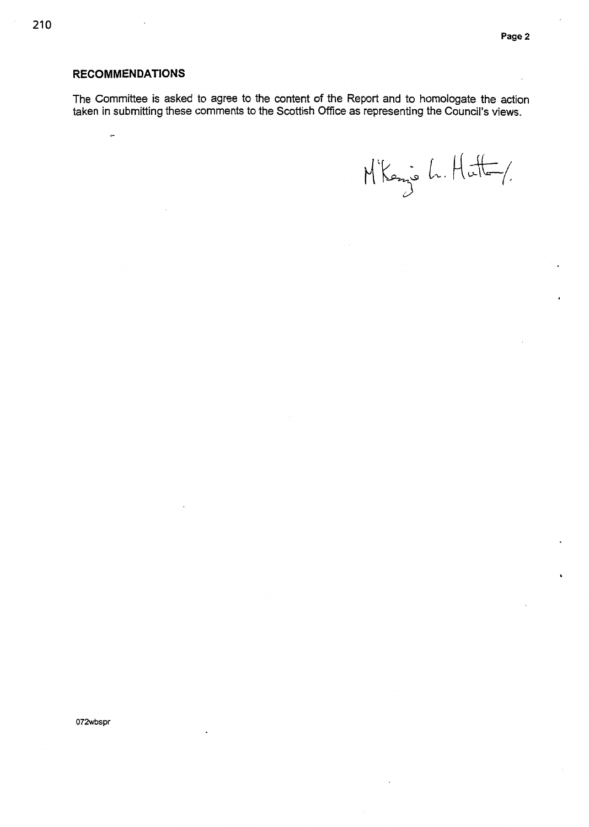**I** 

#### **RECOMMENDATlONS**

ç,

The Committee is asked to agree to the content *of* the Report and to homologate the action taken in submitting these comments to the Scottish Office as representing the Council's views,

 $M$ kens h. Hatt